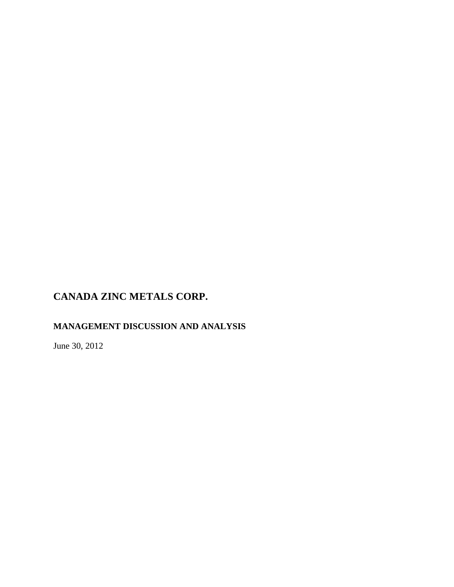# **MANAGEMENT DISCUSSION AND ANALYSIS**

June 30, 2012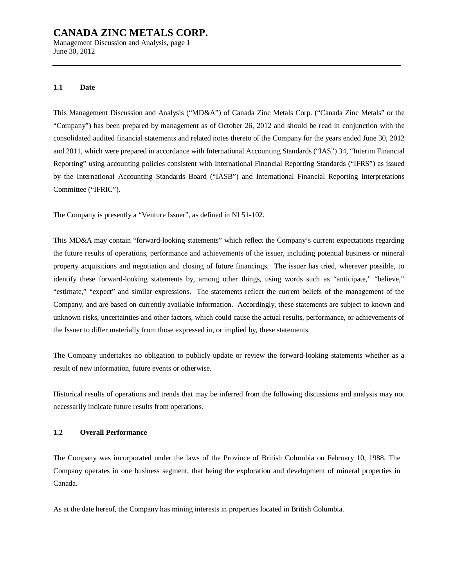Management Discussion and Analysis, page 1 June 30, 2012

#### **1.1 Date**

This Management Discussion and Analysis ("MD&A") of Canada Zinc Metals Corp. ("Canada Zinc Metals" or the "Company") has been prepared by management as of October 26, 2012 and should be read in conjunction with the consolidated audited financial statements and related notes thereto of the Company for the years ended June 30, 2012 and 2011, which were prepared in accordance with International Accounting Standards ("IAS") 34, "Interim Financial Reporting" using accounting policies consistent with International Financial Reporting Standards ("IFRS") as issued by the International Accounting Standards Board ("IASB") and International Financial Reporting Interpretations Committee ("IFRIC").

The Company is presently a "Venture Issuer", as defined in NI 51-102.

This MD&A may contain "forward-looking statements" which reflect the Company's current expectations regarding the future results of operations, performance and achievements of the issuer, including potential business or mineral property acquisitions and negotiation and closing of future financings. The issuer has tried, wherever possible, to identify these forward-looking statements by, among other things, using words such as "anticipate," "believe," "estimate," "expect" and similar expressions. The statements reflect the current beliefs of the management of the Company, and are based on currently available information. Accordingly, these statements are subject to known and unknown risks, uncertainties and other factors, which could cause the actual results, performance, or achievements of the Issuer to differ materially from those expressed in, or implied by, these statements.

The Company undertakes no obligation to publicly update or review the forward-looking statements whether as a result of new information, future events or otherwise.

Historical results of operations and trends that may be inferred from the following discussions and analysis may not necessarily indicate future results from operations.

#### **1.2 Overall Performance**

The Company was incorporated under the laws of the Province of British Columbia on February 10, 1988. The Company operates in one business segment, that being the exploration and development of mineral properties in Canada.

As at the date hereof, the Company has mining interests in properties located in British Columbia.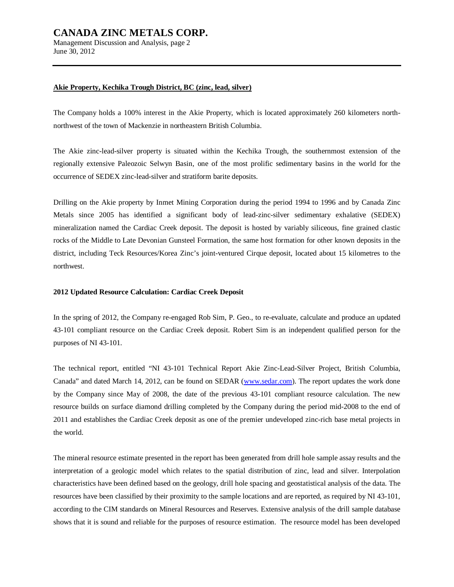Management Discussion and Analysis, page 2 June 30, 2012

#### **Akie Property, Kechika Trough District, BC (zinc, lead, silver)**

The Company holds a 100% interest in the Akie Property, which is located approximately 260 kilometers northnorthwest of the town of Mackenzie in northeastern British Columbia.

The Akie zinc-lead-silver property is situated within the Kechika Trough, the southernmost extension of the regionally extensive Paleozoic Selwyn Basin, one of the most prolific sedimentary basins in the world for the occurrence of SEDEX zinc-lead-silver and stratiform barite deposits.

Drilling on the Akie property by Inmet Mining Corporation during the period 1994 to 1996 and by Canada Zinc Metals since 2005 has identified a significant body of lead-zinc-silver sedimentary exhalative (SEDEX) mineralization named the Cardiac Creek deposit. The deposit is hosted by variably siliceous, fine grained clastic rocks of the Middle to Late Devonian Gunsteel Formation, the same host formation for other known deposits in the district, including Teck Resources/Korea Zinc's joint-ventured Cirque deposit, located about 15 kilometres to the northwest.

#### **2012 Updated Resource Calculation: Cardiac Creek Deposit**

In the spring of 2012, the Company re-engaged Rob Sim, P. Geo., to re-evaluate, calculate and produce an updated 43-101 compliant resource on the Cardiac Creek deposit. Robert Sim is an independent qualified person for the purposes of NI 43-101.

The technical report, entitled "NI 43-101 Technical Report Akie Zinc-Lead-Silver Project, British Columbia, Canada" and dated March 14, 2012, can be found on SEDAR ([www.sedar.com](http://www.sedar.com)). The report updates the work done by the Company since May of 2008, the date of the previous 43-101 compliant resource calculation. The new resource builds on surface diamond drilling completed by the Company during the period mid-2008 to the end of 2011 and establishes the Cardiac Creek deposit as one of the premier undeveloped zinc-rich base metal projects in the world.

The mineral resource estimate presented in the report has been generated from drill hole sample assay results and the interpretation of a geologic model which relates to the spatial distribution of zinc, lead and silver. Interpolation characteristics have been defined based on the geology, drill hole spacing and geostatistical analysis of the data. The resources have been classified by their proximity to the sample locations and are reported, as required by NI 43-101, according to the CIM standards on Mineral Resources and Reserves. Extensive analysis of the drill sample database shows that it is sound and reliable for the purposes of resource estimation. The resource model has been developed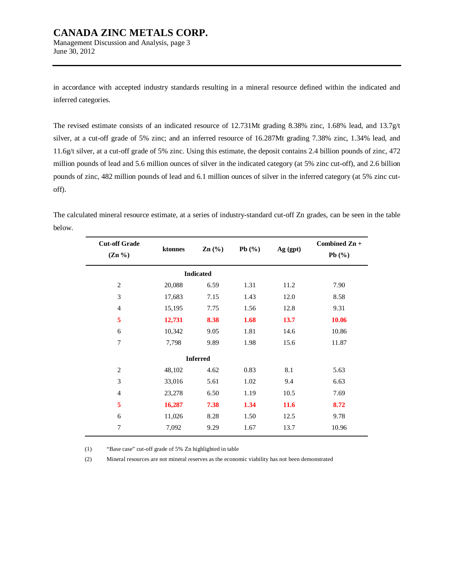Management Discussion and Analysis, page 3 June 30, 2012

in accordance with accepted industry standards resulting in a mineral resource defined within the indicated and inferred categories.

The revised estimate consists of an indicated resource of 12.731Mt grading 8.38% zinc, 1.68% lead, and 13.7g/t silver, at a cut-off grade of 5% zinc; and an inferred resource of 16.287Mt grading 7.38% zinc, 1.34% lead, and 11.6g/t silver, at a cut-off grade of 5% zinc. Using this estimate, the deposit contains 2.4 billion pounds of zinc, 472 million pounds of lead and 5.6 million ounces of silver in the indicated category (at 5% zinc cut-off), and 2.6 billion pounds of zinc, 482 million pounds of lead and 6.1 million ounces of silver in the inferred category (at 5% zinc cutoff).

The calculated mineral resource estimate, at a series of industry-standard cut-off Zn grades, can be seen in the table below.

| <b>Cut-off Grade</b><br>$(Zn\% )$ | ktonnes | $\mathbf{Zn}$ (%) | Pb $(\% )$ | Ag (gpt)    | Combined Zn +<br>Pb $(\%)$ |
|-----------------------------------|---------|-------------------|------------|-------------|----------------------------|
|                                   |         | <b>Indicated</b>  |            |             |                            |
| $\overline{c}$                    | 20,088  | 6.59              | 1.31       | 11.2        | 7.90                       |
| 3                                 | 17,683  | 7.15              | 1.43       | 12.0        | 8.58                       |
| $\overline{4}$                    | 15,195  | 7.75              | 1.56       | 12.8        | 9.31                       |
| 5                                 | 12,731  | 8.38              | 1.68       | 13.7        | 10.06                      |
| 6                                 | 10,342  | 9.05              | 1.81       | 14.6        | 10.86                      |
| 7                                 | 7,798   | 9.89              | 1.98       | 15.6        | 11.87                      |
|                                   |         | <b>Inferred</b>   |            |             |                            |
| $\sqrt{2}$                        | 48,102  | 4.62              | 0.83       | 8.1         | 5.63                       |
| 3                                 | 33,016  | 5.61              | 1.02       | 9.4         | 6.63                       |
| $\overline{4}$                    | 23,278  | 6.50              | 1.19       | 10.5        | 7.69                       |
| 5                                 | 16,287  | 7.38              | 1.34       | <b>11.6</b> | 8.72                       |
| 6                                 | 11,026  | 8.28              | 1.50       | 12.5        | 9.78                       |
| 7                                 | 7,092   | 9.29              | 1.67       | 13.7        | 10.96                      |

(1) "Base case" cut-off grade of 5% Zn highlighted in table

(2) Mineral resources are not mineral reserves as the economic viability has not been demonstrated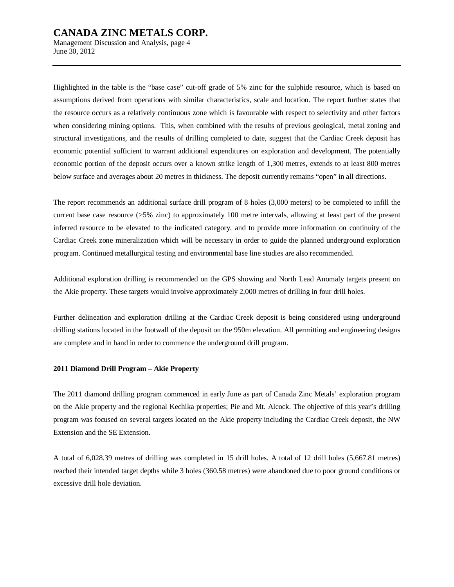Management Discussion and Analysis, page 4 June 30, 2012

Highlighted in the table is the "base case" cut-off grade of 5% zinc for the sulphide resource, which is based on assumptions derived from operations with similar characteristics, scale and location. The report further states that the resource occurs as a relatively continuous zone which is favourable with respect to selectivity and other factors when considering mining options. This, when combined with the results of previous geological, metal zoning and structural investigations, and the results of drilling completed to date, suggest that the Cardiac Creek deposit has economic potential sufficient to warrant additional expenditures on exploration and development. The potentially economic portion of the deposit occurs over a known strike length of 1,300 metres, extends to at least 800 metres below surface and averages about 20 metres in thickness. The deposit currently remains "open" in all directions.

The report recommends an additional surface drill program of 8 holes (3,000 meters) to be completed to infill the current base case resource (>5% zinc) to approximately 100 metre intervals, allowing at least part of the present inferred resource to be elevated to the indicated category, and to provide more information on continuity of the Cardiac Creek zone mineralization which will be necessary in order to guide the planned underground exploration program. Continued metallurgical testing and environmental base line studies are also recommended.

Additional exploration drilling is recommended on the GPS showing and North Lead Anomaly targets present on the Akie property. These targets would involve approximately 2,000 metres of drilling in four drill holes.

Further delineation and exploration drilling at the Cardiac Creek deposit is being considered using underground drilling stations located in the footwall of the deposit on the 950m elevation. All permitting and engineering designs are complete and in hand in order to commence the underground drill program.

#### **2011 Diamond Drill Program – Akie Property**

The 2011 diamond drilling program commenced in early June as part of Canada Zinc Metals' exploration program on the Akie property and the regional Kechika properties; Pie and Mt. Alcock. The objective of this year's drilling program was focused on several targets located on the Akie property including the Cardiac Creek deposit, the NW Extension and the SE Extension.

A total of 6,028.39 metres of drilling was completed in 15 drill holes. A total of 12 drill holes (5,667.81 metres) reached their intended target depths while 3 holes (360.58 metres) were abandoned due to poor ground conditions or excessive drill hole deviation.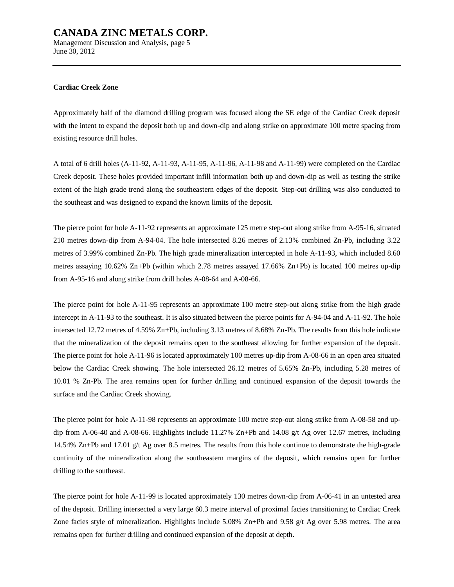Management Discussion and Analysis, page 5 June 30, 2012

#### **Cardiac Creek Zone**

Approximately half of the diamond drilling program was focused along the SE edge of the Cardiac Creek deposit with the intent to expand the deposit both up and down-dip and along strike on approximate 100 metre spacing from existing resource drill holes.

A total of 6 drill holes (A-11-92, A-11-93, A-11-95, A-11-96, A-11-98 and A-11-99) were completed on the Cardiac Creek deposit. These holes provided important infill information both up and down-dip as well as testing the strike extent of the high grade trend along the southeastern edges of the deposit. Step-out drilling was also conducted to the southeast and was designed to expand the known limits of the deposit.

The pierce point for hole A-11-92 represents an approximate 125 metre step-out along strike from A-95-16, situated 210 metres down-dip from A-94-04. The hole intersected 8.26 metres of 2.13% combined Zn-Pb, including 3.22 metres of 3.99% combined Zn-Pb. The high grade mineralization intercepted in hole A-11-93, which included 8.60 metres assaying 10.62% Zn+Pb (within which 2.78 metres assayed 17.66% Zn+Pb) is located 100 metres up-dip from A-95-16 and along strike from drill holes A-08-64 and A-08-66.

The pierce point for hole A-11-95 represents an approximate 100 metre step-out along strike from the high grade intercept in A-11-93 to the southeast. It is also situated between the pierce points for A-94-04 and A-11-92. The hole intersected 12.72 metres of 4.59% Zn+Pb, including 3.13 metres of 8.68% Zn-Pb. The results from this hole indicate that the mineralization of the deposit remains open to the southeast allowing for further expansion of the deposit. The pierce point for hole A-11-96 is located approximately 100 metres up-dip from A-08-66 in an open area situated below the Cardiac Creek showing. The hole intersected 26.12 metres of 5.65% Zn-Pb, including 5.28 metres of 10.01 % Zn-Pb. The area remains open for further drilling and continued expansion of the deposit towards the surface and the Cardiac Creek showing.

The pierce point for hole A-11-98 represents an approximate 100 metre step-out along strike from A-08-58 and updip from A-06-40 and A-08-66. Highlights include 11.27% Zn+Pb and 14.08 g/t Ag over 12.67 metres, including 14.54% Zn+Pb and 17.01 g/t Ag over 8.5 metres. The results from this hole continue to demonstrate the high-grade continuity of the mineralization along the southeastern margins of the deposit, which remains open for further drilling to the southeast.

The pierce point for hole A-11-99 is located approximately 130 metres down-dip from A-06-41 in an untested area of the deposit. Drilling intersected a very large 60.3 metre interval of proximal facies transitioning to Cardiac Creek Zone facies style of mineralization. Highlights include 5.08% Zn+Pb and 9.58 g/t Ag over 5.98 metres. The area remains open for further drilling and continued expansion of the deposit at depth.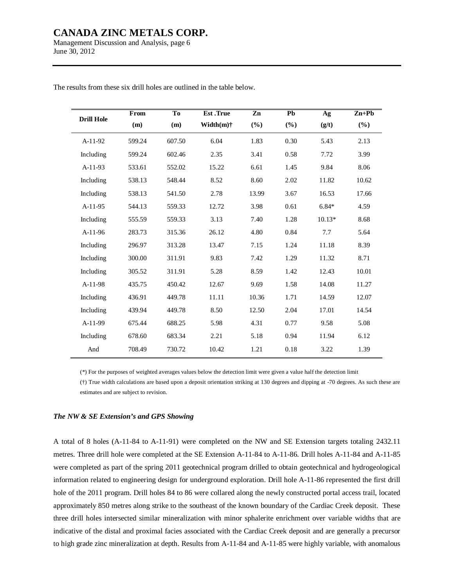Management Discussion and Analysis, page 6 June 30, 2012

|                   | From   | T <sub>0</sub> | <b>Est</b> .True | Zn    | Pb     | Ag       | $Zn+Pb$ |
|-------------------|--------|----------------|------------------|-------|--------|----------|---------|
| <b>Drill Hole</b> | (m)    | (m)            | Width $(m)$ †    | (%)   | $(\%)$ | (g/t)    | (%)     |
| $A-11-92$         | 599.24 | 607.50         | 6.04             | 1.83  | 0.30   | 5.43     | 2.13    |
| Including         | 599.24 | 602.46         | 2.35             | 3.41  | 0.58   | 7.72     | 3.99    |
| $A-11-93$         | 533.61 | 552.02         | 15.22            | 6.61  | 1.45   | 9.84     | 8.06    |
| Including         | 538.13 | 548.44         | 8.52             | 8.60  | 2.02   | 11.82    | 10.62   |
| Including         | 538.13 | 541.50         | 2.78             | 13.99 | 3.67   | 16.53    | 17.66   |
| $A-11-95$         | 544.13 | 559.33         | 12.72            | 3.98  | 0.61   | $6.84*$  | 4.59    |
| Including         | 555.59 | 559.33         | 3.13             | 7.40  | 1.28   | $10.13*$ | 8.68    |
| A-11-96           | 283.73 | 315.36         | 26.12            | 4.80  | 0.84   | 7.7      | 5.64    |
| Including         | 296.97 | 313.28         | 13.47            | 7.15  | 1.24   | 11.18    | 8.39    |
| Including         | 300.00 | 311.91         | 9.83             | 7.42  | 1.29   | 11.32    | 8.71    |
| Including         | 305.52 | 311.91         | 5.28             | 8.59  | 1.42   | 12.43    | 10.01   |
| A-11-98           | 435.75 | 450.42         | 12.67            | 9.69  | 1.58   | 14.08    | 11.27   |
| Including         | 436.91 | 449.78         | 11.11            | 10.36 | 1.71   | 14.59    | 12.07   |
| Including         | 439.94 | 449.78         | 8.50             | 12.50 | 2.04   | 17.01    | 14.54   |
| A-11-99           | 675.44 | 688.25         | 5.98             | 4.31  | 0.77   | 9.58     | 5.08    |
| Including         | 678.60 | 683.34         | 2.21             | 5.18  | 0.94   | 11.94    | 6.12    |
| And               | 708.49 | 730.72         | 10.42            | 1.21  | 0.18   | 3.22     | 1.39    |

The results from these six drill holes are outlined in the table below.

(\*) For the purposes of weighted averages values below the detection limit were given a value half the detection limit

(†) True width calculations are based upon a deposit orientation striking at 130 degrees and dipping at -70 degrees. As such these are estimates and are subject to revision.

#### *The NW & SE Extension's and GPS Showing*

A total of 8 holes (A-11-84 to A-11-91) were completed on the NW and SE Extension targets totaling 2432.11 metres. Three drill hole were completed at the SE Extension A-11-84 to A-11-86. Drill holes A-11-84 and A-11-85 were completed as part of the spring 2011 geotechnical program drilled to obtain geotechnical and hydrogeological information related to engineering design for underground exploration. Drill hole A-11-86 represented the first drill hole of the 2011 program. Drill holes 84 to 86 were collared along the newly constructed portal access trail, located approximately 850 metres along strike to the southeast of the known boundary of the Cardiac Creek deposit. These three drill holes intersected similar mineralization with minor sphalerite enrichment over variable widths that are indicative of the distal and proximal facies associated with the Cardiac Creek deposit and are generally a precursor to high grade zinc mineralization at depth. Results from A-11-84 and A-11-85 were highly variable, with anomalous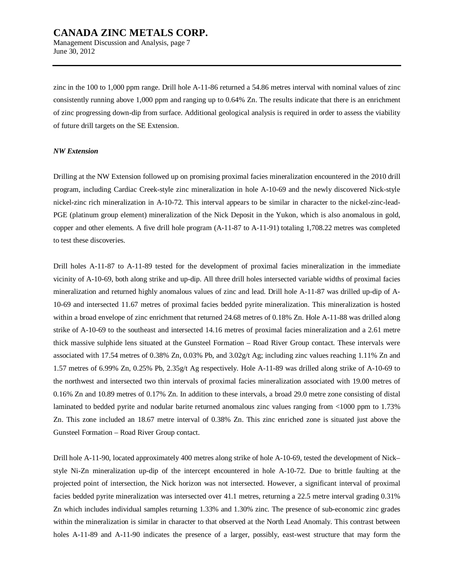June 30, 2012

zinc in the 100 to 1,000 ppm range. Drill hole A-11-86 returned a 54.86 metres interval with nominal values of zinc consistently running above 1,000 ppm and ranging up to 0.64% Zn. The results indicate that there is an enrichment of zinc progressing down-dip from surface. Additional geological analysis is required in order to assess the viability of future drill targets on the SE Extension.

#### *NW Extension*

Drilling at the NW Extension followed up on promising proximal facies mineralization encountered in the 2010 drill program, including Cardiac Creek-style zinc mineralization in hole A-10-69 and the newly discovered Nick-style nickel-zinc rich mineralization in A-10-72. This interval appears to be similar in character to the nickel-zinc-lead-PGE (platinum group element) mineralization of the Nick Deposit in the Yukon, which is also anomalous in gold, copper and other elements. A five drill hole program (A-11-87 to A-11-91) totaling 1,708.22 metres was completed to test these discoveries.

Drill holes A-11-87 to A-11-89 tested for the development of proximal facies mineralization in the immediate vicinity of A-10-69, both along strike and up-dip. All three drill holes intersected variable widths of proximal facies mineralization and returned highly anomalous values of zinc and lead. Drill hole A-11-87 was drilled up-dip of A-10-69 and intersected 11.67 metres of proximal facies bedded pyrite mineralization. This mineralization is hosted within a broad envelope of zinc enrichment that returned 24.68 metres of 0.18% Zn. Hole A-11-88 was drilled along strike of A-10-69 to the southeast and intersected 14.16 metres of proximal facies mineralization and a 2.61 metre thick massive sulphide lens situated at the Gunsteel Formation – Road River Group contact. These intervals were associated with 17.54 metres of 0.38% Zn, 0.03% Pb, and 3.02g/t Ag; including zinc values reaching 1.11% Zn and 1.57 metres of 6.99% Zn, 0.25% Pb, 2.35g/t Ag respectively. Hole A-11-89 was drilled along strike of A-10-69 to the northwest and intersected two thin intervals of proximal facies mineralization associated with 19.00 metres of 0.16% Zn and 10.89 metres of 0.17% Zn. In addition to these intervals, a broad 29.0 metre zone consisting of distal laminated to bedded pyrite and nodular barite returned anomalous zinc values ranging from <1000 ppm to 1.73% Zn. This zone included an 18.67 metre interval of 0.38% Zn. This zinc enriched zone is situated just above the Gunsteel Formation – Road River Group contact.

Drill hole A-11-90, located approximately 400 metres along strike of hole A-10-69, tested the development of Nick– style Ni-Zn mineralization up-dip of the intercept encountered in hole A-10-72. Due to brittle faulting at the projected point of intersection, the Nick horizon was not intersected. However, a significant interval of proximal facies bedded pyrite mineralization was intersected over 41.1 metres, returning a 22.5 metre interval grading 0.31% Zn which includes individual samples returning 1.33% and 1.30% zinc. The presence of sub-economic zinc grades within the mineralization is similar in character to that observed at the North Lead Anomaly. This contrast between holes A-11-89 and A-11-90 indicates the presence of a larger, possibly, east-west structure that may form the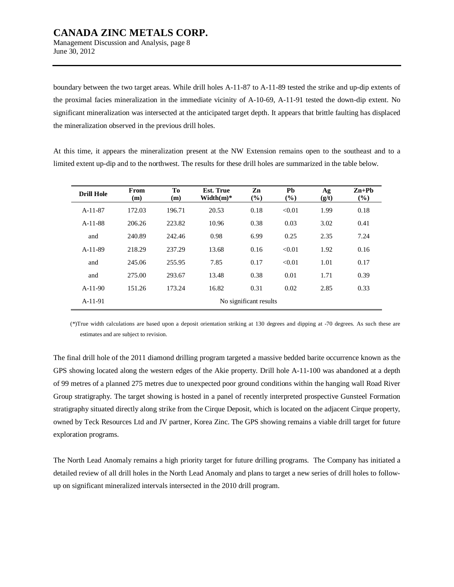Management Discussion and Analysis, page 8 June 30, 2012

boundary between the two target areas. While drill holes A-11-87 to A-11-89 tested the strike and up-dip extents of the proximal facies mineralization in the immediate vicinity of A-10-69, A-11-91 tested the down-dip extent. No significant mineralization was intersected at the anticipated target depth. It appears that brittle faulting has displaced the mineralization observed in the previous drill holes.

At this time, it appears the mineralization present at the NW Extension remains open to the southeast and to a limited extent up-dip and to the northwest. The results for these drill holes are summarized in the table below.

| <b>Drill Hole</b> | From<br>(m) | To<br>(m) | <b>Est. True</b><br>Width $(m)^*$ | Zn<br>$(\%)$           | Pb<br>$(\%)$ | Ag<br>(g/t) | $Zn+Pb$<br>$(\%)$ |
|-------------------|-------------|-----------|-----------------------------------|------------------------|--------------|-------------|-------------------|
| $A-11-87$         | 172.03      | 196.71    | 20.53                             | 0.18                   | < 0.01       | 1.99        | 0.18              |
| $A-11-88$         | 206.26      | 223.82    | 10.96                             | 0.38                   | 0.03         | 3.02        | 0.41              |
| and               | 240.89      | 242.46    | 0.98                              | 6.99                   | 0.25         | 2.35        | 7.24              |
| $A-11-89$         | 218.29      | 237.29    | 13.68                             | 0.16                   | < 0.01       | 1.92        | 0.16              |
| and               | 245.06      | 255.95    | 7.85                              | 0.17                   | < 0.01       | 1.01        | 0.17              |
| and               | 275.00      | 293.67    | 13.48                             | 0.38                   | 0.01         | 1.71        | 0.39              |
| $A-11-90$         | 151.26      | 173.24    | 16.82                             | 0.31                   | 0.02         | 2.85        | 0.33              |
| $A-11-91$         |             |           |                                   | No significant results |              |             |                   |

(\*)True width calculations are based upon a deposit orientation striking at 130 degrees and dipping at -70 degrees. As such these are estimates and are subject to revision.

The final drill hole of the 2011 diamond drilling program targeted a massive bedded barite occurrence known as the GPS showing located along the western edges of the Akie property. Drill hole A-11-100 was abandoned at a depth of 99 metres of a planned 275 metres due to unexpected poor ground conditions within the hanging wall Road River Group stratigraphy. The target showing is hosted in a panel of recently interpreted prospective Gunsteel Formation stratigraphy situated directly along strike from the Cirque Deposit, which is located on the adjacent Cirque property, owned by Teck Resources Ltd and JV partner, Korea Zinc. The GPS showing remains a viable drill target for future exploration programs.

The North Lead Anomaly remains a high priority target for future drilling programs. The Company has initiated a detailed review of all drill holes in the North Lead Anomaly and plans to target a new series of drill holes to followup on significant mineralized intervals intersected in the 2010 drill program.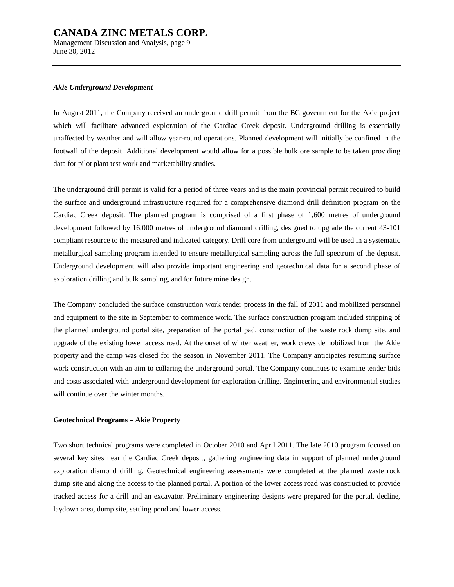Management Discussion and Analysis, page 9 June 30, 2012

#### *Akie Underground Development*

In August 2011, the Company received an underground drill permit from the BC government for the Akie project which will facilitate advanced exploration of the Cardiac Creek deposit. Underground drilling is essentially unaffected by weather and will allow year-round operations. Planned development will initially be confined in the footwall of the deposit. Additional development would allow for a possible bulk ore sample to be taken providing data for pilot plant test work and marketability studies.

The underground drill permit is valid for a period of three years and is the main provincial permit required to build the surface and underground infrastructure required for a comprehensive diamond drill definition program on the Cardiac Creek deposit. The planned program is comprised of a first phase of 1,600 metres of underground development followed by 16,000 metres of underground diamond drilling, designed to upgrade the current 43-101 compliant resource to the measured and indicated category. Drill core from underground will be used in a systematic metallurgical sampling program intended to ensure metallurgical sampling across the full spectrum of the deposit. Underground development will also provide important engineering and geotechnical data for a second phase of exploration drilling and bulk sampling, and for future mine design.

The Company concluded the surface construction work tender process in the fall of 2011 and mobilized personnel and equipment to the site in September to commence work. The surface construction program included stripping of the planned underground portal site, preparation of the portal pad, construction of the waste rock dump site, and upgrade of the existing lower access road. At the onset of winter weather, work crews demobilized from the Akie property and the camp was closed for the season in November 2011. The Company anticipates resuming surface work construction with an aim to collaring the underground portal. The Company continues to examine tender bids and costs associated with underground development for exploration drilling. Engineering and environmental studies will continue over the winter months.

#### **Geotechnical Programs – Akie Property**

Two short technical programs were completed in October 2010 and April 2011. The late 2010 program focused on several key sites near the Cardiac Creek deposit, gathering engineering data in support of planned underground exploration diamond drilling. Geotechnical engineering assessments were completed at the planned waste rock dump site and along the access to the planned portal. A portion of the lower access road was constructed to provide tracked access for a drill and an excavator. Preliminary engineering designs were prepared for the portal, decline, laydown area, dump site, settling pond and lower access.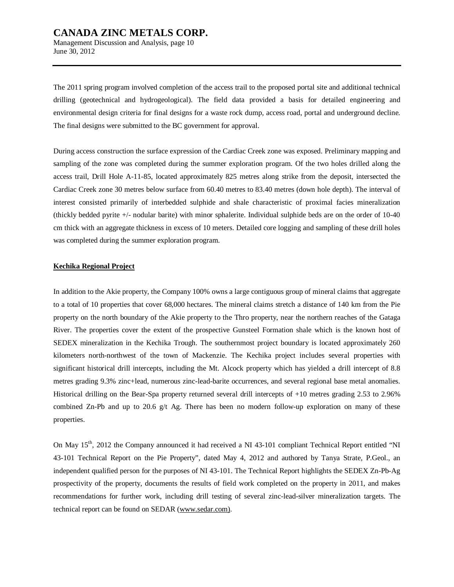Management Discussion and Analysis, page 10 June 30, 2012

The 2011 spring program involved completion of the access trail to the proposed portal site and additional technical drilling (geotechnical and hydrogeological). The field data provided a basis for detailed engineering and environmental design criteria for final designs for a waste rock dump, access road, portal and underground decline. The final designs were submitted to the BC government for approval.

During access construction the surface expression of the Cardiac Creek zone was exposed. Preliminary mapping and sampling of the zone was completed during the summer exploration program. Of the two holes drilled along the access trail, Drill Hole A-11-85, located approximately 825 metres along strike from the deposit, intersected the Cardiac Creek zone 30 metres below surface from 60.40 metres to 83.40 metres (down hole depth). The interval of interest consisted primarily of interbedded sulphide and shale characteristic of proximal facies mineralization (thickly bedded pyrite +/- nodular barite) with minor sphalerite. Individual sulphide beds are on the order of 10-40 cm thick with an aggregate thickness in excess of 10 meters. Detailed core logging and sampling of these drill holes was completed during the summer exploration program.

#### **Kechika Regional Project**

In addition to the Akie property, the Company 100% owns a large contiguous group of mineral claims that aggregate to a total of 10 properties that cover 68,000 hectares. The mineral claims stretch a distance of 140 km from the Pie property on the north boundary of the Akie property to the Thro property, near the northern reaches of the Gataga River. The properties cover the extent of the prospective Gunsteel Formation shale which is the known host of SEDEX mineralization in the Kechika Trough. The southernmost project boundary is located approximately 260 kilometers north-northwest of the town of Mackenzie. The Kechika project includes several properties with significant historical drill intercepts, including the Mt. Alcock property which has yielded a drill intercept of 8.8 metres grading 9.3% zinc+lead, numerous zinc-lead-barite occurrences, and several regional base metal anomalies. Historical drilling on the Bear-Spa property returned several drill intercepts of +10 metres grading 2.53 to 2.96% combined Zn-Pb and up to 20.6  $g/t$  Ag. There has been no modern follow-up exploration on many of these properties.

On May 15<sup>th</sup>, 2012 the Company announced it had received a NI 43-101 compliant Technical Report entitled "NI 43-101 Technical Report on the Pie Property", dated May 4, 2012 and authored by Tanya Strate, P.Geol., an independent qualified person for the purposes of NI 43-101. The Technical Report highlights the SEDEX Zn-Pb-Ag prospectivity of the property, documents the results of field work completed on the property in 2011, and makes recommendations for further work, including drill testing of several zinc-lead-silver mineralization targets. The technical report can be found on SEDAR [\(www.sedar.com\).](http://www.sedar.com))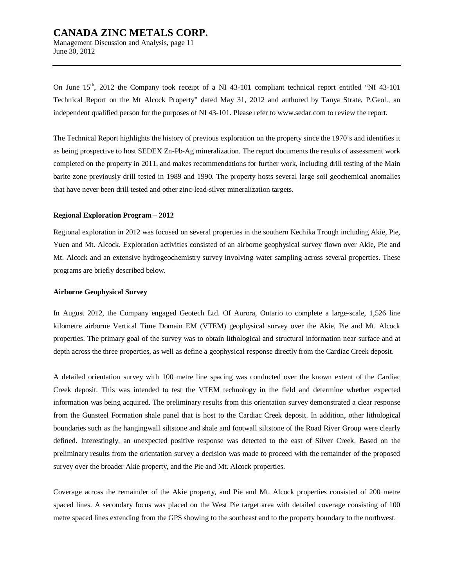Management Discussion and Analysis, page 11 June 30, 2012

On June  $15<sup>th</sup>$ , 2012 the Company took receipt of a NI 43-101 compliant technical report entitled "NI 43-101" Technical Report on the Mt Alcock Property" dated May 31, 2012 and authored by Tanya Strate, P.Geol., an independent qualified person for the purposes of NI 43-101. Please refer to [www.sedar.com](http://www.sedar.com) to review the report.

The Technical Report highlights the history of previous exploration on the property since the 1970's and identifies it as being prospective to host SEDEX Zn-Pb-Ag mineralization. The report documents the results of assessment work completed on the property in 2011, and makes recommendations for further work, including drill testing of the Main barite zone previously drill tested in 1989 and 1990. The property hosts several large soil geochemical anomalies that have never been drill tested and other zinc-lead-silver mineralization targets.

#### **Regional Exploration Program – 2012**

Regional exploration in 2012 was focused on several properties in the southern Kechika Trough including Akie, Pie, Yuen and Mt. Alcock. Exploration activities consisted of an airborne geophysical survey flown over Akie, Pie and Mt. Alcock and an extensive hydrogeochemistry survey involving water sampling across several properties. These programs are briefly described below.

#### **Airborne Geophysical Survey**

In August 2012, the Company engaged Geotech Ltd. Of Aurora, Ontario to complete a large-scale, 1,526 line kilometre airborne Vertical Time Domain EM (VTEM) geophysical survey over the Akie, Pie and Mt. Alcock properties. The primary goal of the survey was to obtain lithological and structural information near surface and at depth across the three properties, as well as define a geophysical response directly from the Cardiac Creek deposit.

A detailed orientation survey with 100 metre line spacing was conducted over the known extent of the Cardiac Creek deposit. This was intended to test the VTEM technology in the field and determine whether expected information was being acquired. The preliminary results from this orientation survey demonstrated a clear response from the Gunsteel Formation shale panel that is host to the Cardiac Creek deposit. In addition, other lithological boundaries such as the hangingwall siltstone and shale and footwall siltstone of the Road River Group were clearly defined. Interestingly, an unexpected positive response was detected to the east of Silver Creek. Based on the preliminary results from the orientation survey a decision was made to proceed with the remainder of the proposed survey over the broader Akie property, and the Pie and Mt. Alcock properties.

Coverage across the remainder of the Akie property, and Pie and Mt. Alcock properties consisted of 200 metre spaced lines. A secondary focus was placed on the West Pie target area with detailed coverage consisting of 100 metre spaced lines extending from the GPS showing to the southeast and to the property boundary to the northwest.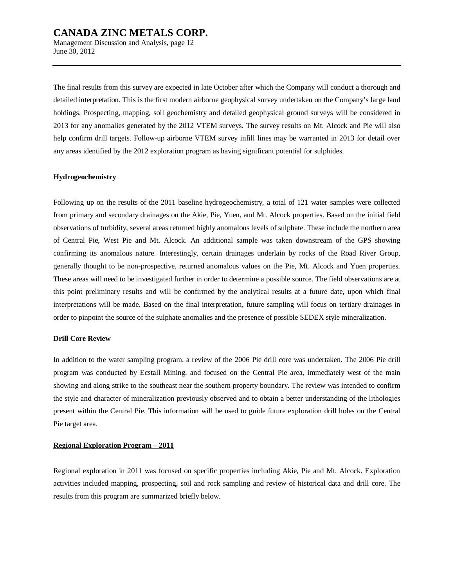Management Discussion and Analysis, page 12 June 30, 2012

The final results from this survey are expected in late October after which the Company will conduct a thorough and detailed interpretation. This is the first modern airborne geophysical survey undertaken on the Company's large land holdings. Prospecting, mapping, soil geochemistry and detailed geophysical ground surveys will be considered in 2013 for any anomalies generated by the 2012 VTEM surveys. The survey results on Mt. Alcock and Pie will also help confirm drill targets. Follow-up airborne VTEM survey infill lines may be warranted in 2013 for detail over any areas identified by the 2012 exploration program as having significant potential for sulphides.

#### **Hydrogeochemistry**

Following up on the results of the 2011 baseline hydrogeochemistry, a total of 121 water samples were collected from primary and secondary drainages on the Akie, Pie, Yuen, and Mt. Alcock properties. Based on the initial field observations of turbidity, several areas returned highly anomalous levels of sulphate. These include the northern area of Central Pie, West Pie and Mt. Alcock. An additional sample was taken downstream of the GPS showing confirming its anomalous nature. Interestingly, certain drainages underlain by rocks of the Road River Group, generally thought to be non-prospective, returned anomalous values on the Pie, Mt. Alcock and Yuen properties. These areas will need to be investigated further in order to determine a possible source. The field observations are at this point preliminary results and will be confirmed by the analytical results at a future date, upon which final interpretations will be made. Based on the final interpretation, future sampling will focus on tertiary drainages in order to pinpoint the source of the sulphate anomalies and the presence of possible SEDEX style mineralization.

#### **Drill Core Review**

In addition to the water sampling program, a review of the 2006 Pie drill core was undertaken. The 2006 Pie drill program was conducted by Ecstall Mining, and focused on the Central Pie area, immediately west of the main showing and along strike to the southeast near the southern property boundary. The review was intended to confirm the style and character of mineralization previously observed and to obtain a better understanding of the lithologies present within the Central Pie. This information will be used to guide future exploration drill holes on the Central Pie target area.

#### **Regional Exploration Program – 2011**

Regional exploration in 2011 was focused on specific properties including Akie, Pie and Mt. Alcock. Exploration activities included mapping, prospecting, soil and rock sampling and review of historical data and drill core. The results from this program are summarized briefly below.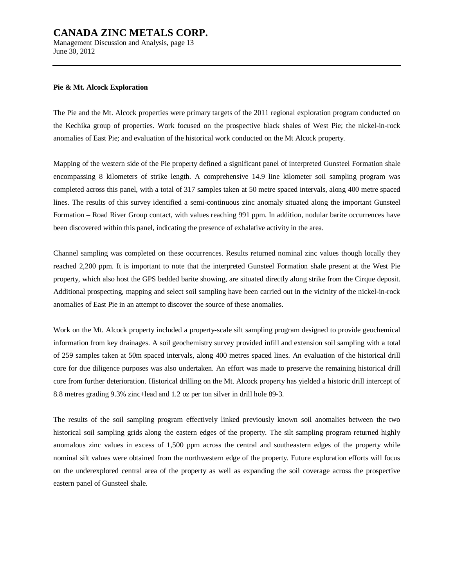Management Discussion and Analysis, page 13 June 30, 2012

#### **Pie & Mt. Alcock Exploration**

The Pie and the Mt. Alcock properties were primary targets of the 2011 regional exploration program conducted on the Kechika group of properties. Work focused on the prospective black shales of West Pie; the nickel-in-rock anomalies of East Pie; and evaluation of the historical work conducted on the Mt Alcock property.

Mapping of the western side of the Pie property defined a significant panel of interpreted Gunsteel Formation shale encompassing 8 kilometers of strike length. A comprehensive 14.9 line kilometer soil sampling program was completed across this panel, with a total of 317 samples taken at 50 metre spaced intervals, along 400 metre spaced lines. The results of this survey identified a semi-continuous zinc anomaly situated along the important Gunsteel Formation – Road River Group contact, with values reaching 991 ppm. In addition, nodular barite occurrences have been discovered within this panel, indicating the presence of exhalative activity in the area.

Channel sampling was completed on these occurrences. Results returned nominal zinc values though locally they reached 2,200 ppm. It is important to note that the interpreted Gunsteel Formation shale present at the West Pie property, which also host the GPS bedded barite showing, are situated directly along strike from the Cirque deposit. Additional prospecting, mapping and select soil sampling have been carried out in the vicinity of the nickel-in-rock anomalies of East Pie in an attempt to discover the source of these anomalies.

Work on the Mt. Alcock property included a property-scale silt sampling program designed to provide geochemical information from key drainages. A soil geochemistry survey provided infill and extension soil sampling with a total of 259 samples taken at 50m spaced intervals, along 400 metres spaced lines. An evaluation of the historical drill core for due diligence purposes was also undertaken. An effort was made to preserve the remaining historical drill core from further deterioration. Historical drilling on the Mt. Alcock property has yielded a historic drill intercept of 8.8 metres grading 9.3% zinc+lead and 1.2 oz per ton silver in drill hole 89-3.

The results of the soil sampling program effectively linked previously known soil anomalies between the two historical soil sampling grids along the eastern edges of the property. The silt sampling program returned highly anomalous zinc values in excess of 1,500 ppm across the central and southeastern edges of the property while nominal silt values were obtained from the northwestern edge of the property. Future exploration efforts will focus on the underexplored central area of the property as well as expanding the soil coverage across the prospective eastern panel of Gunsteel shale.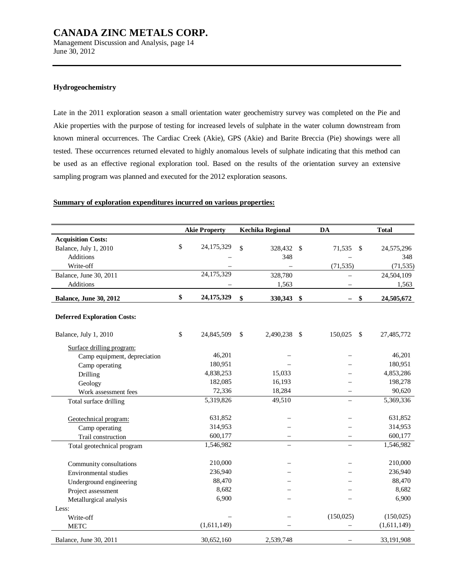Management Discussion and Analysis, page 14 June 30, 2012

#### **Hydrogeochemistry**

Late in the 2011 exploration season a small orientation water geochemistry survey was completed on the Pie and Akie properties with the purpose of testing for increased levels of sulphate in the water column downstream from known mineral occurrences. The Cardiac Creek (Akie), GPS (Akie) and Barite Breccia (Pie) showings were all tested. These occurrences returned elevated to highly anomalous levels of sulphate indicating that this method can be used as an effective regional exploration tool. Based on the results of the orientation survey an extensive sampling program was planned and executed for the 2012 exploration seasons.

#### **Summary of exploration expenditures incurred on various properties:**

|                                    | <b>Akie Property</b> | <b>Kechika Regional</b> | <b>DA</b>  | <b>Total</b>     |
|------------------------------------|----------------------|-------------------------|------------|------------------|
| <b>Acquisition Costs:</b>          |                      |                         |            |                  |
| Balance, July 1, 2010              | \$<br>24,175,329     | \$<br>328,432 \$        | 71,535     | \$<br>24,575,296 |
| <b>Additions</b>                   |                      | 348                     |            | 348              |
| Write-off                          |                      |                         | (71, 535)  | (71, 535)        |
| Balance, June 30, 2011             | 24,175,329           | 328,780                 |            | 24,504,109       |
| Additions                          |                      | 1,563                   |            | 1,563            |
| Balance, June 30, 2012             | \$<br>24,175,329     | \$<br>330,343 \$        |            | \$<br>24,505,672 |
| <b>Deferred Exploration Costs:</b> |                      |                         |            |                  |
| Balance, July 1, 2010              | \$<br>24,845,509     | \$<br>2,490,238 \$      | 150,025    | \$<br>27,485,772 |
| Surface drilling program:          |                      |                         |            |                  |
| Camp equipment, depreciation       | 46,201               |                         |            | 46,201           |
| Camp operating                     | 180,951              |                         |            | 180,951          |
| Drilling                           | 4,838,253            | 15,033                  |            | 4,853,286        |
| Geology                            | 182,085              | 16,193                  |            | 198,278          |
| Work assessment fees               | 72,336               | 18,284                  |            | 90,620           |
| Total surface drilling             | 5,319,826            | 49,510                  |            | 5,369,336        |
| Geotechnical program:              | 631,852              |                         |            | 631,852          |
| Camp operating                     | 314,953              |                         |            | 314,953          |
| Trail construction                 | 600,177              |                         |            | 600,177          |
| Total geotechnical program         | 1,546,982            |                         |            | 1,546,982        |
| Community consultations            | 210,000              |                         |            | 210,000          |
| Environmental studies              | 236,940              |                         |            | 236,940          |
| Underground engineering            | 88,470               |                         |            | 88,470           |
| Project assessment                 | 8,682                |                         |            | 8,682            |
| Metallurgical analysis             | 6,900                |                         |            | 6,900            |
| Less:                              |                      |                         |            |                  |
| Write-off                          |                      |                         | (150, 025) | (150, 025)       |
| <b>METC</b>                        | (1,611,149)          |                         |            | (1,611,149)      |
| Balance, June 30, 2011             | 30,652,160           | 2,539,748               |            | 33,191,908       |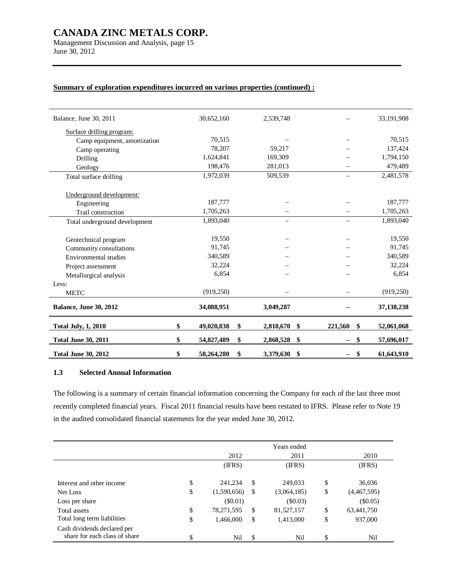Management Discussion and Analysis, page 15 June 30, 2012

| Balance, June 30, 2011        | 30,652,160       | 2,539,748       |               | 33,191,908       |
|-------------------------------|------------------|-----------------|---------------|------------------|
| Surface drilling program:     |                  |                 |               |                  |
| Camp equipment, amortization  | 70,515           |                 |               | 70,515           |
| Camp operating                | 78,207           | 59,217          |               | 137,424          |
| Drilling                      | 1,624,841        | 169,309         |               | 1,794,150        |
| Geology                       | 198,476          | 281,013         |               | 479,489          |
| Total surface drilling        | 1,972,039        | 509,539         |               | 2,481,578        |
|                               |                  |                 |               |                  |
| Underground development:      |                  |                 |               |                  |
| Engineering                   | 187,777          |                 |               | 187,777          |
| Trail construction            | 1,705,263        |                 |               | 1,705,263        |
| Total underground development | 1,893,040        |                 |               | 1,893,040        |
|                               |                  |                 |               |                  |
| Geotechnical program          | 19,550           |                 |               | 19,550           |
| Community consultations       | 91,745           |                 |               | 91,745           |
| Environmental studies         | 340,589          |                 |               | 340,589          |
| Project assessment            | 32,224           |                 |               | 32,224           |
| Metallurgical analysis        | 6,854            |                 |               | 6,854            |
| Less:                         |                  |                 |               |                  |
| <b>METC</b>                   | (919, 250)       |                 |               | (919, 250)       |
| <b>Balance, June 30, 2012</b> | 34,088,951       | 3,049,287       |               | 37, 138, 238     |
| <b>Total July, 1, 2010</b>    | \$<br>49,020,838 | \$<br>2,818,670 | \$<br>221,560 | \$<br>52,061,068 |
| <b>Total June 30, 2011</b>    | \$<br>54,827,489 | \$<br>2,868,528 | \$<br>—       | \$<br>57,696,017 |
| <b>Total June 30, 2012</b>    | \$<br>58,264,280 | \$<br>3,379,630 | \$            | \$<br>61,643,910 |

### **Summary of exploration expenditures incurred on various properties (continued) :**

### **1.3 Selected Annual Information**

The following is a summary of certain financial information concerning the Company for each of the last three most recently completed financial years. Fiscal 2011 financial results have been restated to IFRS. Please refer to Note 19 in the audited consolidated financial statements for the year ended June 30, 2012.

|                                                              |                   |               | Years ended |                   |
|--------------------------------------------------------------|-------------------|---------------|-------------|-------------------|
|                                                              | 2012              |               | 2011        | 2010              |
|                                                              | (IFRS)            |               | (IFRS)      | (IFRS)            |
| Interest and other income                                    | \$<br>241.234     | \$            | 249,033     | \$<br>36,036      |
| Net Loss                                                     | \$<br>(1,590,656) | <sup>\$</sup> | (3,064,185) | \$<br>(4,467,595) |
| Loss per share                                               | $(\$0.01)$        |               | (\$0.03)    | $(\$0.05)$        |
| Total assets                                                 | \$<br>78,271,595  | <sup>\$</sup> | 81,527,157  | \$<br>63,441,750  |
| Total long term liabilities                                  | \$<br>1,466,000   | \$            | 1,413,000   | \$<br>937,000     |
| Cash dividends declared per<br>share for each class of share | \$<br>Nil         | \$            | Nil         | \$<br>Nil         |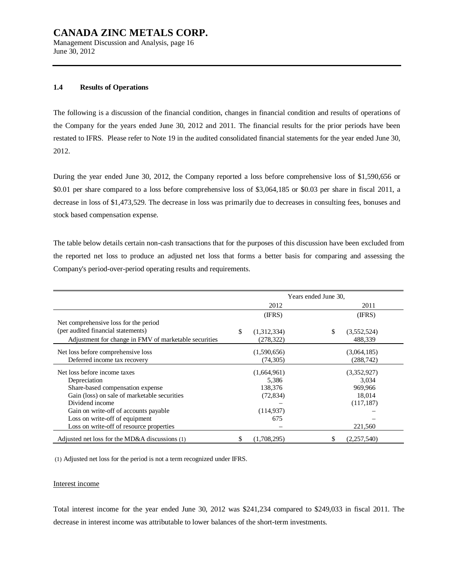Management Discussion and Analysis, page 16 June 30, 2012

#### **1.4 Results of Operations**

The following is a discussion of the financial condition, changes in financial condition and results of operations of the Company for the years ended June 30, 2012 and 2011. The financial results for the prior periods have been restated to IFRS. Please refer to Note 19 in the audited consolidated financial statements for the year ended June 30, 2012.

During the year ended June 30, 2012, the Company reported a loss before comprehensive loss of \$1,590,656 or \$0.01 per share compared to a loss before comprehensive loss of \$3,064,185 or \$0.03 per share in fiscal 2011, a decrease in loss of \$1,473,529. The decrease in loss was primarily due to decreases in consulting fees, bonuses and stock based compensation expense.

The table below details certain non-cash transactions that for the purposes of this discussion have been excluded from the reported net loss to produce an adjusted net loss that forms a better basis for comparing and assessing the Company's period-over-period operating results and requirements.

|                                                       |     |             | Years ended June 30, |             |
|-------------------------------------------------------|-----|-------------|----------------------|-------------|
|                                                       |     | 2012        |                      | 2011        |
|                                                       |     | (IFRS)      |                      | (IFRS)      |
| Net comprehensive loss for the period                 |     |             |                      |             |
| (per audited financial statements)                    | \$. | (1,312,334) | \$                   | (3,552,524) |
| Adjustment for change in FMV of marketable securities |     | (278, 322)  |                      | 488,339     |
| Net loss before comprehensive loss                    |     | (1,590,656) |                      | (3,064,185) |
| Deferred income tax recovery                          |     | (74, 305)   |                      | (288,742)   |
| Net loss before income taxes                          |     | (1,664,961) |                      | (3,352,927) |
| Depreciation                                          |     | 5,386       |                      | 3,034       |
| Share-based compensation expense                      |     | 138,376     |                      | 969,966     |
| Gain (loss) on sale of marketable securities          |     | (72, 834)   |                      | 18,014      |
| Dividend income                                       |     |             |                      | (117, 187)  |
| Gain on write-off of accounts payable                 |     | (114, 937)  |                      |             |
| Loss on write-off of equipment                        |     | 675         |                      |             |
| Loss on write-off of resource properties              |     |             |                      | 221,560     |
| Adjusted net loss for the MD&A discussions (1)        |     | (1,708,295) |                      | (2,257,540) |

(1) Adjusted net loss for the period is not a term recognized under IFRS.

#### Interest income

Total interest income for the year ended June 30, 2012 was \$241,234 compared to \$249,033 in fiscal 2011. The decrease in interest income was attributable to lower balances of the short-term investments.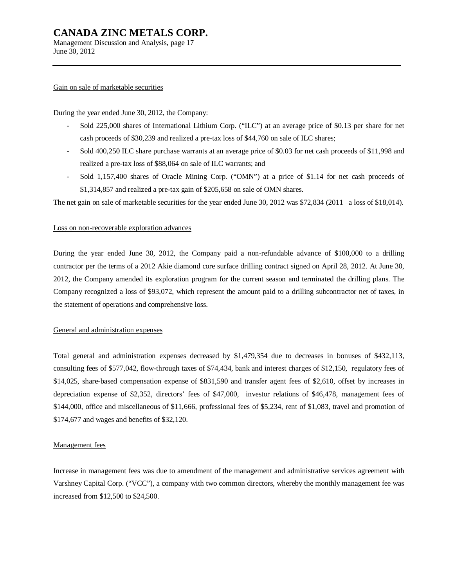Management Discussion and Analysis, page 17 June 30, 2012

#### Gain on sale of marketable securities

During the year ended June 30, 2012, the Company:

- Sold 225,000 shares of International Lithium Corp. ("ILC") at an average price of \$0.13 per share for net cash proceeds of \$30,239 and realized a pre-tax loss of \$44,760 on sale of ILC shares;
- Sold 400,250 ILC share purchase warrants at an average price of \$0.03 for net cash proceeds of \$11,998 and realized a pre-tax loss of \$88,064 on sale of ILC warrants; and
- Sold 1,157,400 shares of Oracle Mining Corp. ("OMN") at a price of \$1.14 for net cash proceeds of \$1,314,857 and realized a pre-tax gain of \$205,658 on sale of OMN shares.

The net gain on sale of marketable securities for the year ended June 30, 2012 was \$72,834 (2011 –a loss of \$18,014).

#### Loss on non-recoverable exploration advances

During the year ended June 30, 2012, the Company paid a non-refundable advance of \$100,000 to a drilling contractor per the terms of a 2012 Akie diamond core surface drilling contract signed on April 28, 2012. At June 30, 2012, the Company amended its exploration program for the current season and terminated the drilling plans. The Company recognized a loss of \$93,072, which represent the amount paid to a drilling subcontractor net of taxes, in the statement of operations and comprehensive loss.

#### General and administration expenses

Total general and administration expenses decreased by \$1,479,354 due to decreases in bonuses of \$432,113, consulting fees of \$577,042, flow-through taxes of \$74,434, bank and interest charges of \$12,150, regulatory fees of \$14,025, share-based compensation expense of \$831,590 and transfer agent fees of \$2,610, offset by increases in depreciation expense of \$2,352, directors' fees of \$47,000, investor relations of \$46,478, management fees of \$144,000, office and miscellaneous of \$11,666, professional fees of \$5,234, rent of \$1,083, travel and promotion of \$174,677 and wages and benefits of \$32,120.

#### Management fees

Increase in management fees was due to amendment of the management and administrative services agreement with Varshney Capital Corp. ("VCC"), a company with two common directors, whereby the monthly management fee was increased from \$12,500 to \$24,500.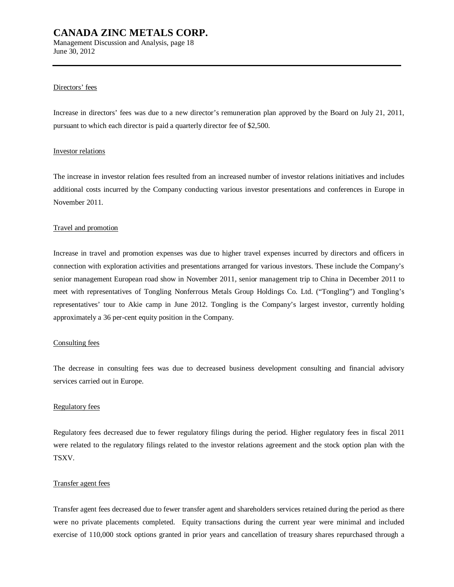Management Discussion and Analysis, page 18 June 30, 2012

#### Directors' fees

Increase in directors' fees was due to a new director's remuneration plan approved by the Board on July 21, 2011, pursuant to which each director is paid a quarterly director fee of \$2,500.

#### Investor relations

The increase in investor relation fees resulted from an increased number of investor relations initiatives and includes additional costs incurred by the Company conducting various investor presentations and conferences in Europe in November 2011.

#### Travel and promotion

Increase in travel and promotion expenses was due to higher travel expenses incurred by directors and officers in connection with exploration activities and presentations arranged for various investors. These include the Company's senior management European road show in November 2011, senior management trip to China in December 2011 to meet with representatives of Tongling Nonferrous Metals Group Holdings Co. Ltd. ("Tongling") and Tongling's representatives' tour to Akie camp in June 2012. Tongling is the Company's largest investor, currently holding approximately a 36 per-cent equity position in the Company.

#### Consulting fees

The decrease in consulting fees was due to decreased business development consulting and financial advisory services carried out in Europe.

#### Regulatory fees

Regulatory fees decreased due to fewer regulatory filings during the period. Higher regulatory fees in fiscal 2011 were related to the regulatory filings related to the investor relations agreement and the stock option plan with the TSXV.

#### Transfer agent fees

Transfer agent fees decreased due to fewer transfer agent and shareholders services retained during the period as there were no private placements completed. Equity transactions during the current year were minimal and included exercise of 110,000 stock options granted in prior years and cancellation of treasury shares repurchased through a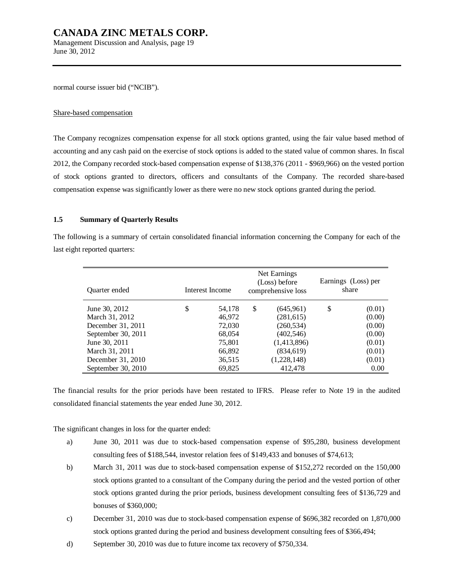Management Discussion and Analysis, page 19 June 30, 2012

normal course issuer bid ("NCIB").

#### Share-based compensation

The Company recognizes compensation expense for all stock options granted, using the fair value based method of accounting and any cash paid on the exercise of stock options is added to the stated value of common shares. In fiscal 2012, the Company recorded stock-based compensation expense of \$138,376 (2011 - \$969,966) on the vested portion of stock options granted to directors, officers and consultants of the Company. The recorded share-based compensation expense was significantly lower as there were no new stock options granted during the period.

#### **1.5 Summary of Quarterly Results**

The following is a summary of certain consolidated financial information concerning the Company for each of the last eight reported quarters:

| <b>Ouarter</b> ended |   | Interest Income |    | Net Earnings<br>(Loss) before<br>comprehensive loss |    | Earnings (Loss) per<br>share |
|----------------------|---|-----------------|----|-----------------------------------------------------|----|------------------------------|
| June 30, 2012        | S | 54,178          | \$ | (645, 961)                                          | \$ | (0.01)                       |
| March 31, 2012       |   | 46,972          |    | (281,615)                                           |    | (0.00)                       |
| December 31, 2011    |   | 72,030          |    | (260, 534)                                          |    | (0.00)                       |
| September 30, 2011   |   | 68,054          |    | (402, 546)                                          |    | (0.00)                       |
| June 30, 2011        |   | 75,801          |    | (1,413,896)                                         |    | (0.01)                       |
| March 31, 2011       |   | 66,892          |    | (834, 619)                                          |    | (0.01)                       |
| December 31, 2010    |   | 36,515          |    | (1,228,148)                                         |    | (0.01)                       |
| September 30, 2010   |   | 69,825          |    | 412,478                                             |    | 0.00                         |

The financial results for the prior periods have been restated to IFRS. Please refer to Note 19 in the audited consolidated financial statements the year ended June 30, 2012.

The significant changes in loss for the quarter ended:

- a) June 30, 2011 was due to stock-based compensation expense of \$95,280, business development consulting fees of \$188,544, investor relation fees of \$149,433 and bonuses of \$74,613;
- b) March 31, 2011 was due to stock-based compensation expense of \$152,272 recorded on the 150,000 stock options granted to a consultant of the Company during the period and the vested portion of other stock options granted during the prior periods, business development consulting fees of \$136,729 and bonuses of \$360,000;
- c) December 31, 2010 was due to stock-based compensation expense of \$696,382 recorded on 1,870,000 stock options granted during the period and business development consulting fees of \$366,494;
- d) September 30, 2010 was due to future income tax recovery of \$750,334.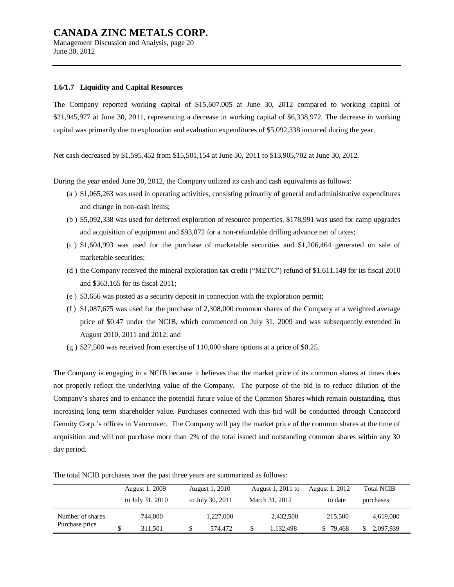Management Discussion and Analysis, page 20 June 30, 2012

#### **1.6/1.7 Liquidity and Capital Resources**

The Company reported working capital of \$15,607,005 at June 30, 2012 compared to working capital of \$21,945,977 at June 30, 2011, representing a decrease in working capital of \$6,338,972. The decrease in working capital was primarily due to exploration and evaluation expenditures of \$5,092,338 incurred during the year.

Net cash decreased by \$1,595,452 from \$15,501,154 at June 30, 2011 to \$13,905,702 at June 30, 2012.

During the year ended June 30, 2012, the Company utilized its cash and cash equivalents as follows:

- (a ) \$1,065,263 was used in operating activities, consisting primarily of general and administrative expenditures and change in non-cash items;
- (b ) \$5,092,338 was used for deferred exploration of resource properties, \$178,991 was used for camp upgrades and acquisition of equipment and \$93,072 for a non-refundable drilling advance net of taxes;
- (c ) \$1,604,993 was used for the purchase of marketable securities and \$1,206,464 generated on sale of marketable securities;
- (d ) the Company received the mineral exploration tax credit ("METC") refund of \$1,611,149 for its fiscal 2010 and \$363,165 for its fiscal 2011;
- (e ) \$3,656 was posted as a security deposit in connection with the exploration permit;
- (f ) \$1,087,675 was used for the purchase of 2,308,000 common shares of the Company at a weighted average price of \$0.47 under the NCIB, which commenced on July 31, 2009 and was subsequently extended in August 2010, 2011 and 2012; and
- $(g)$  \$27,500 was received from exercise of 110,000 share options at a price of \$0.25.

The Company is engaging in a NCIB because it believes that the market price of its common shares at times does not properly reflect the underlying value of the Company. The purpose of the bid is to reduce dilution of the Company's shares and to enhance the potential future value of the Common Shares which remain outstanding, thus increasing long term shareholder value. Purchases connected with this bid will be conducted through Canaccord Genuity Corp.'s offices in Vancouver. The Company will pay the market price of the common shares at the time of acquisition and will not purchase more than 2% of the total issued and outstanding common shares within any 30 day period.

|                  | August 1, 2009   | August 1, 2010   | August 1, 2011 to | August 1, 2012 | <b>Total NCIB</b> |           |
|------------------|------------------|------------------|-------------------|----------------|-------------------|-----------|
|                  | to July 31, 2010 | to July 30, 2011 | March 31, 2012    | to date        | purchases         |           |
| Number of shares | 744.000          | 1,227,000        | 2,432,500         | 215,500        |                   | 4,619,000 |
| Purchase price   | 311.501          | 574.472          | 1,132,498         | 79.468         |                   | 2,097,939 |

The total NCIB purchases over the past three years are summarized as follows: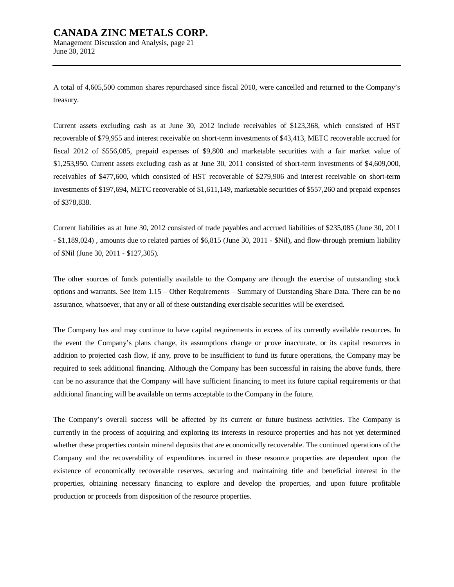June 30, 2012

A total of 4,605,500 common shares repurchased since fiscal 2010, were cancelled and returned to the Company's treasury.

Current assets excluding cash as at June 30, 2012 include receivables of \$123,368, which consisted of HST recoverable of \$79,955 and interest receivable on short-term investments of \$43,413, METC recoverable accrued for fiscal 2012 of \$556,085, prepaid expenses of \$9,800 and marketable securities with a fair market value of \$1,253,950. Current assets excluding cash as at June 30, 2011 consisted of short-term investments of \$4,609,000, receivables of \$477,600, which consisted of HST recoverable of \$279,906 and interest receivable on short-term investments of \$197,694, METC recoverable of \$1,611,149, marketable securities of \$557,260 and prepaid expenses of \$378,838.

Current liabilities as at June 30, 2012 consisted of trade payables and accrued liabilities of \$235,085 (June 30, 2011 - \$1,189,024) , amounts due to related parties of \$6,815 (June 30, 2011 - \$Nil), and flow-through premium liability of \$Nil (June 30, 2011 - \$127,305).

The other sources of funds potentially available to the Company are through the exercise of outstanding stock options and warrants. See Item 1.15 – Other Requirements – Summary of Outstanding Share Data. There can be no assurance, whatsoever, that any or all of these outstanding exercisable securities will be exercised.

The Company has and may continue to have capital requirements in excess of its currently available resources. In the event the Company's plans change, its assumptions change or prove inaccurate, or its capital resources in addition to projected cash flow, if any, prove to be insufficient to fund its future operations, the Company may be required to seek additional financing. Although the Company has been successful in raising the above funds, there can be no assurance that the Company will have sufficient financing to meet its future capital requirements or that additional financing will be available on terms acceptable to the Company in the future.

The Company's overall success will be affected by its current or future business activities. The Company is currently in the process of acquiring and exploring its interests in resource properties and has not yet determined whether these properties contain mineral deposits that are economically recoverable. The continued operations of the Company and the recoverability of expenditures incurred in these resource properties are dependent upon the existence of economically recoverable reserves, securing and maintaining title and beneficial interest in the properties, obtaining necessary financing to explore and develop the properties, and upon future profitable production or proceeds from disposition of the resource properties.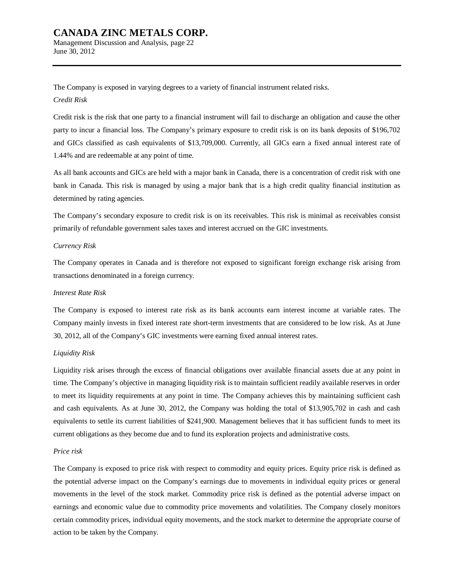Management Discussion and Analysis, page 22 June 30, 2012

The Company is exposed in varying degrees to a variety of financial instrument related risks. *Credit Risk* 

Credit risk is the risk that one party to a financial instrument will fail to discharge an obligation and cause the other party to incur a financial loss. The Company's primary exposure to credit risk is on its bank deposits of \$196,702 and GICs classified as cash equivalents of \$13,709,000. Currently, all GICs earn a fixed annual interest rate of 1.44% and are redeemable at any point of time.

As all bank accounts and GICs are held with a major bank in Canada, there is a concentration of credit risk with one bank in Canada. This risk is managed by using a major bank that is a high credit quality financial institution as determined by rating agencies.

The Company's secondary exposure to credit risk is on its receivables. This risk is minimal as receivables consist primarily of refundable government sales taxes and interest accrued on the GIC investments.

#### *Currency Risk*

The Company operates in Canada and is therefore not exposed to significant foreign exchange risk arising from transactions denominated in a foreign currency.

#### *Interest Rate Risk*

The Company is exposed to interest rate risk as its bank accounts earn interest income at variable rates. The Company mainly invests in fixed interest rate short-term investments that are considered to be low risk. As at June 30, 2012, all of the Company's GIC investments were earning fixed annual interest rates.

#### *Liquidity Risk*

Liquidity risk arises through the excess of financial obligations over available financial assets due at any point in time. The Company's objective in managing liquidity risk is to maintain sufficient readily available reserves in order to meet its liquidity requirements at any point in time. The Company achieves this by maintaining sufficient cash and cash equivalents. As at June 30, 2012, the Company was holding the total of \$13,905,702 in cash and cash equivalents to settle its current liabilities of \$241,900. Management believes that it has sufficient funds to meet its current obligations as they become due and to fund its exploration projects and administrative costs.

#### *Price risk*

The Company is exposed to price risk with respect to commodity and equity prices. Equity price risk is defined as the potential adverse impact on the Company's earnings due to movements in individual equity prices or general movements in the level of the stock market. Commodity price risk is defined as the potential adverse impact on earnings and economic value due to commodity price movements and volatilities. The Company closely monitors certain commodity prices, individual equity movements, and the stock market to determine the appropriate course of action to be taken by the Company.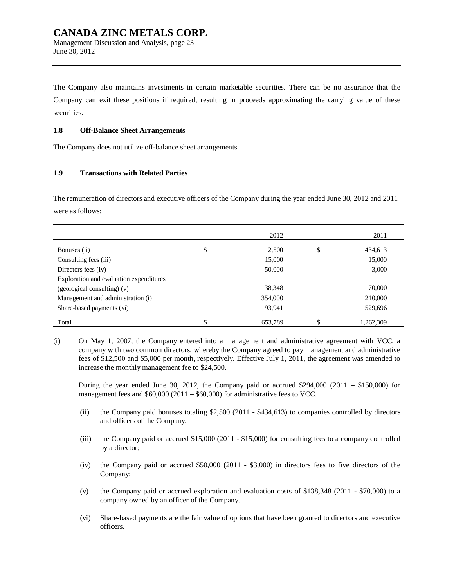### **CANADA ZINC METALS CORP.**  Management Discussion and Analysis, page 23

June 30, 2012

The Company also maintains investments in certain marketable securities. There can be no assurance that the Company can exit these positions if required, resulting in proceeds approximating the carrying value of these securities.

### **1.8 Off-Balance Sheet Arrangements**

The Company does not utilize off-balance sheet arrangements.

### **1.9 Transactions with Related Parties**

The remuneration of directors and executive officers of the Company during the year ended June 30, 2012 and 2011 were as follows:

|                                         | 2012          | 2011            |
|-----------------------------------------|---------------|-----------------|
| Bonuses (ii)                            | \$<br>2,500   | \$<br>434,613   |
| Consulting fees (iii)                   | 15,000        | 15,000          |
| Directors fees (iv)                     | 50,000        | 3,000           |
| Exploration and evaluation expenditures |               |                 |
| (geological consulting) (v)             | 138,348       | 70,000          |
| Management and administration (i)       | 354,000       | 210,000         |
| Share-based payments (vi)               | 93,941        | 529,696         |
| Total                                   | \$<br>653,789 | \$<br>1,262,309 |

(i) On May 1, 2007, the Company entered into a management and administrative agreement with VCC, a company with two common directors, whereby the Company agreed to pay management and administrative fees of \$12,500 and \$5,000 per month, respectively. Effective July 1, 2011, the agreement was amended to increase the monthly management fee to \$24,500.

During the year ended June 30, 2012, the Company paid or accrued \$294,000 (2011 – \$150,000) for management fees and \$60,000 (2011 – \$60,000) for administrative fees to VCC.

- (ii) the Company paid bonuses totaling \$2,500 (2011 \$434,613) to companies controlled by directors and officers of the Company.
- (iii) the Company paid or accrued \$15,000 (2011 \$15,000) for consulting fees to a company controlled by a director;
- (iv) the Company paid or accrued \$50,000 (2011 \$3,000) in directors fees to five directors of the Company;
- (v) the Company paid or accrued exploration and evaluation costs of \$138,348 (2011 \$70,000) to a company owned by an officer of the Company.
- (vi) Share-based payments are the fair value of options that have been granted to directors and executive officers.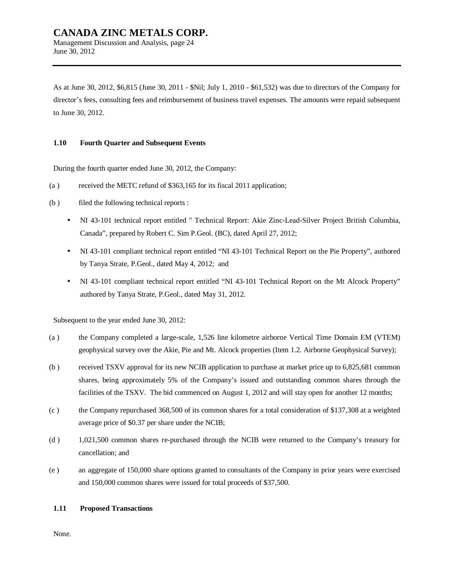June 30, 2012

As at June 30, 2012, \$6,815 (June 30, 2011 - \$Nil; July 1, 2010 - \$61,532) was due to directors of the Company for director's fees, consulting fees and reimbursement of business travel expenses. The amounts were repaid subsequent to June 30, 2012.

#### **1.10 Fourth Quarter and Subsequent Events**

During the fourth quarter ended June 30, 2012, the Company:

- (a ) received the METC refund of \$363,165 for its fiscal 2011 application;
- (b ) filed the following technical reports :
	- NI 43-101 technical report entitled " Technical Report: Akie Zinc-Lead-Silver Project British Columbia, Canada", prepared by Robert C. Sim P.Geol. (BC), dated April 27, 2012;
	- NI 43-101 compliant technical report entitled "NI 43-101 Technical Report on the Pie Property", authored by Tanya Strate, P.Geol., dated May 4, 2012; and
	- NI 43-101 compliant technical report entitled "NI 43-101 Technical Report on the Mt Alcock Property" authored by Tanya Strate, P.Geol., dated May 31, 2012.

Subsequent to the year ended June 30, 2012:

- (a ) the Company completed a large-scale, 1,526 line kilometre airborne Vertical Time Domain EM (VTEM) geophysical survey over the Akie, Pie and Mt. Alcock properties (Item 1.2. Airborne Geophysical Survey);
- (b ) received TSXV approval for its new NCIB application to purchase at market price up to 6,825,681 common shares, being approximately 5% of the Company's issued and outstanding common shares through the facilities of the TSXV. The bid commenced on August 1, 2012 and will stay open for another 12 months;
- (c ) the Company repurchased 368,500 of its common shares for a total consideration of \$137,308 at a weighted average price of \$0.37 per share under the NCIB;
- (d ) 1,021,500 common shares re-purchased through the NCIB were returned to the Company's treasury for cancellation; and
- (e ) an aggregate of 150,000 share options granted to consultants of the Company in prior years were exercised and 150,000 common shares were issued for total proceeds of \$37,500.

#### **1.11 Proposed Transactions**

None.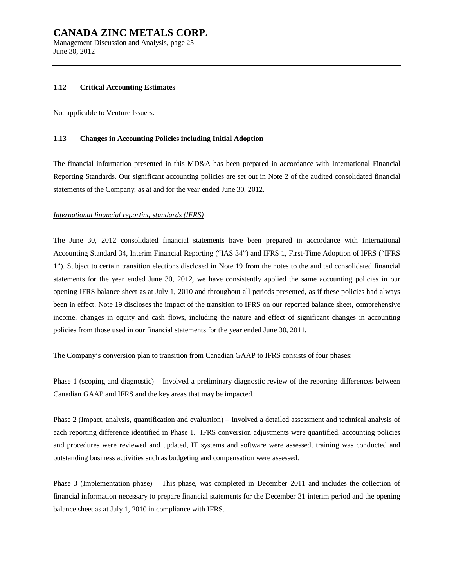Management Discussion and Analysis, page 25 June 30, 2012

#### **1.12 Critical Accounting Estimates**

Not applicable to Venture Issuers.

#### **1.13 Changes in Accounting Policies including Initial Adoption**

The financial information presented in this MD&A has been prepared in accordance with International Financial Reporting Standards. Our significant accounting policies are set out in Note 2 of the audited consolidated financial statements of the Company, as at and for the year ended June 30, 2012.

#### *International financial reporting standards (IFRS)*

The June 30, 2012 consolidated financial statements have been prepared in accordance with International Accounting Standard 34, Interim Financial Reporting ("IAS 34") and IFRS 1, First-Time Adoption of IFRS ("IFRS 1"). Subject to certain transition elections disclosed in Note 19 from the notes to the audited consolidated financial statements for the year ended June 30, 2012, we have consistently applied the same accounting policies in our opening IFRS balance sheet as at July 1, 2010 and throughout all periods presented, as if these policies had always been in effect. Note 19 discloses the impact of the transition to IFRS on our reported balance sheet, comprehensive income, changes in equity and cash flows, including the nature and effect of significant changes in accounting policies from those used in our financial statements for the year ended June 30, 2011.

The Company's conversion plan to transition from Canadian GAAP to IFRS consists of four phases:

Phase 1 (scoping and diagnostic) – Involved a preliminary diagnostic review of the reporting differences between Canadian GAAP and IFRS and the key areas that may be impacted.

Phase 2 (Impact, analysis, quantification and evaluation) – Involved a detailed assessment and technical analysis of each reporting difference identified in Phase 1. IFRS conversion adjustments were quantified, accounting policies and procedures were reviewed and updated, IT systems and software were assessed, training was conducted and outstanding business activities such as budgeting and compensation were assessed.

Phase 3 (Implementation phase) – This phase, was completed in December 2011 and includes the collection of financial information necessary to prepare financial statements for the December 31 interim period and the opening balance sheet as at July 1, 2010 in compliance with IFRS.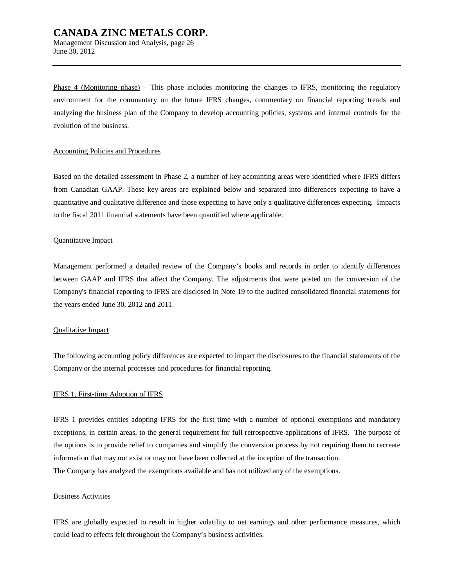Management Discussion and Analysis, page 26 June 30, 2012

Phase 4 (Monitoring phase) – This phase includes monitoring the changes to IFRS, monitoring the regulatory environment for the commentary on the future IFRS changes, commentary on financial reporting trends and analyzing the business plan of the Company to develop accounting policies, systems and internal controls for the evolution of the business.

#### Accounting Policies and Procedures

Based on the detailed assessment in Phase 2, a number of key accounting areas were identified where IFRS differs from Canadian GAAP. These key areas are explained below and separated into differences expecting to have a quantitative and qualitative difference and those expecting to have only a qualitative differences expecting. Impacts to the fiscal 2011 financial statements have been quantified where applicable.

#### Quantitative Impact

Management performed a detailed review of the Company's books and records in order to identify differences between GAAP and IFRS that affect the Company. The adjustments that were posted on the conversion of the Company's financial reporting to IFRS are disclosed in Note 19 to the audited consolidated financial statements for the years ended June 30, 2012 and 2011.

#### Qualitative Impact

The following accounting policy differences are expected to impact the disclosures to the financial statements of the Company or the internal processes and procedures for financial reporting.

#### IFRS 1, First-time Adoption of IFRS

IFRS 1 provides entities adopting IFRS for the first time with a number of optional exemptions and mandatory exceptions, in certain areas, to the general requirement for full retrospective applications of IFRS. The purpose of the options is to provide relief to companies and simplify the conversion process by not requiring them to recreate information that may not exist or may not have been collected at the inception of the transaction. The Company has analyzed the exemptions available and has not utilized any of the exemptions.

#### Business Activities

IFRS are globally expected to result in higher volatility to net earnings and other performance measures, which could lead to effects felt throughout the Company's business activities.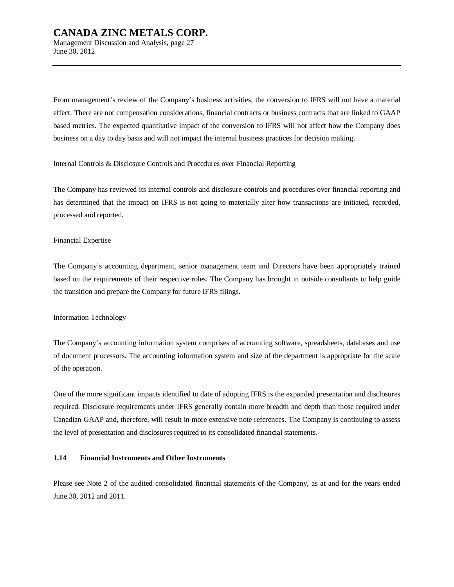Management Discussion and Analysis, page 27 June 30, 2012

From management's review of the Company's business activities, the conversion to IFRS will not have a material effect. There are not compensation considerations, financial contracts or business contracts that are linked to GAAP based metrics. The expected quantitative impact of the conversion to IFRS will not affect how the Company does business on a day to day basis and will not impact the internal business practices for decision making.

Internal Controls & Disclosure Controls and Procedures over Financial Reporting

The Company has reviewed its internal controls and disclosure controls and procedures over financial reporting and has determined that the impact on IFRS is not going to materially alter how transactions are initiated, recorded, processed and reported.

#### Financial Expertise

The Company's accounting department, senior management team and Directors have been appropriately trained based on the requirements of their respective roles. The Company has brought in outside consultants to help guide the transition and prepare the Company for future IFRS filings.

#### Information Technology

The Company's accounting information system comprises of accounting software, spreadsheets, databases and use of document processors. The accounting information system and size of the department is appropriate for the scale of the operation.

One of the more significant impacts identified to date of adopting IFRS is the expanded presentation and disclosures required. Disclosure requirements under IFRS generally contain more breadth and depth than those required under Canadian GAAP and, therefore, will result in more extensive note references. The Company is continuing to assess the level of presentation and disclosures required to its consolidated financial statements.

#### **1.14 Financial Instruments and Other Instruments**

Please see Note 2 of the audited consolidated financial statements of the Company, as at and for the years ended June 30, 2012 and 2011.